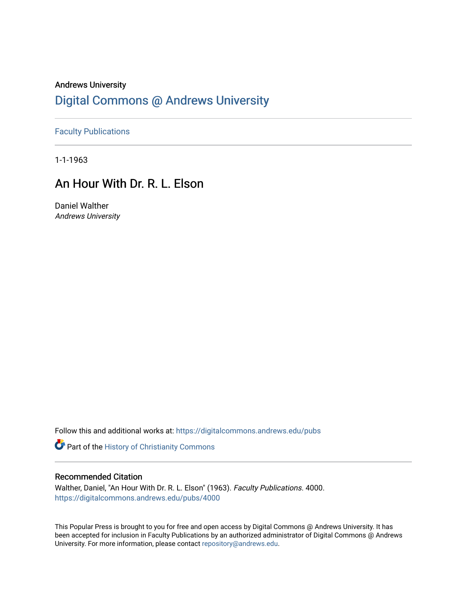## Andrews University [Digital Commons @ Andrews University](https://digitalcommons.andrews.edu/)

[Faculty Publications](https://digitalcommons.andrews.edu/pubs)

1-1-1963

# An Hour With Dr. R. L. Elson

Daniel Walther Andrews University

Follow this and additional works at: [https://digitalcommons.andrews.edu/pubs](https://digitalcommons.andrews.edu/pubs?utm_source=digitalcommons.andrews.edu%2Fpubs%2F4000&utm_medium=PDF&utm_campaign=PDFCoverPages) 

Part of the [History of Christianity Commons](http://network.bepress.com/hgg/discipline/1182?utm_source=digitalcommons.andrews.edu%2Fpubs%2F4000&utm_medium=PDF&utm_campaign=PDFCoverPages) 

#### Recommended Citation

Walther, Daniel, "An Hour With Dr. R. L. Elson" (1963). Faculty Publications. 4000. [https://digitalcommons.andrews.edu/pubs/4000](https://digitalcommons.andrews.edu/pubs/4000?utm_source=digitalcommons.andrews.edu%2Fpubs%2F4000&utm_medium=PDF&utm_campaign=PDFCoverPages) 

This Popular Press is brought to you for free and open access by Digital Commons @ Andrews University. It has been accepted for inclusion in Faculty Publications by an authorized administrator of Digital Commons @ Andrews University. For more information, please contact [repository@andrews.edu](mailto:repository@andrews.edu).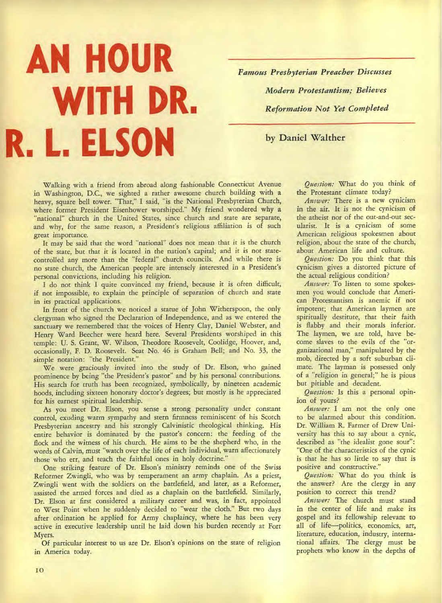# **AN HOUR WITH DR. R. L. ELSON**

*Famous Presbyterian Preacher Discusses Modern Protestantism; Believes Reformation Not Yet Completed* 

**by Daniel Walther** 

Walking with a friend from abroad along fashionable Connecticut Avenue in Washington, D.C., we sighted a rather awesome church building with a heavy, square bell tower. "That," I said, "is the National Presbyterian Church, where former President Eisenhower worshiped." My friend wondered why a "national" church in the United States, since church and state are separate, and why, for the same reason, a President's religious affiliation is of such great importance.

It may be said that the word "national" does not mean that it is the church of the state, but that it is located in the nation's capital; and it is not statecontrolled any more than the "federal" church councils. And while there is no state church, the American people are intensely interested in a President's personal convictions, including his religion.

I do not think I quite convinced my friend, because it is often difficult, if not impossible, to explain the principle of separation of church and state in its practical applications.

In front of the church we noticed a statue of John Witherspoon, the only clergyman who signed the Declaration of Independence, and as we entered the sanctuary we remembered that the voices of Henry Clay, Daniel Webster, and Henry Ward Beecher were heard here. Several Presidents worshiped in this temple: U. S. Grant, W. Wilson, Theodore Roosevelt, Coolidge, Hoover, and, occasionally, F. D. Roosevelt. Seat No. 46 is Graham Bell; and No. 33, the simple notation: "the President."

We were graciously invited into the study of Dr. Elson, who gained prominence by being "the President's pastor" and by his personal contributions. His search for truth has been recognized, symbolically, by nineteen academic hoods, including sixteen honorary doctor's degrees; but mostly is he appreciated for his earnest spiritual leadership.

As you meet Dr. Elson, you sense a strong personality under constant control, exuding warm sympathy and stern firmness reminiscent of his Scotch Presbyterian ancestry and his strongly Calvinistic theological thinking. His entire behavior is dominated by the pastor's concern: the feeding of the flock and the witness of his church. He aims to be the shepherd who, in the words of Calvin, must "watch over the life of each individual, warn affectionately those who err, and teach the faithful ones in holy doctrine."

One striking feature of Dr. Elson's ministry reminds one of the Swiss Reformer Zwingli, who was by temperament an army chaplain. As a priest, Zwingli went with the soldiers on the battlefield, and later, as a Reformer, assisted the armed forces and died as a chaplain on the battlefield. Similarly, Dr. Elson at first considered a military career and was, in fact, appointed to West Point when he suddenly decided to "wear the cloth." But two days after ordination he applied for Army chaplaincy, where he has been very active in executive leadership until he laid down his burden recently at Fort Myers.

Of particular interest to us are Dr. Elson's opinions on the state of religion in America today.

*Question:* What do you think of the Protestant climate today?

*Answer:* There is a new cynicism in the air. It is not the cynicism of the atheist nor of the out-and-out secularist. It is a cynicism of some American religious spokesmen about religion, about the state of the church, about American life and culture.

*Question:* Do you think that this cynicism gives a distorted picture of the actual religious condition?

*Answer:* To listen to some spokesmen you would conclude that American Protestantism is anemic if not impotent; that American laymen are spiritually destitute, that their faith is flabby and their morals inferior. The laymen, we are told, have become slaves to the evils of the "organizational man," manipulated by the mob, directed by a soft suburban climate. The layman is possessed only of a "religion in general;" he is pious but pitiable and decadent.

*Question:* Is this a personal opinion of yours?

*Answer:* I am not the only one to be alarmed about this condition. Dr. William R. Farmer of Drew University has this to say about a cynic, described as "the idealist gone sour": "One of the characteristics of the cynic is that he has so little to say that is positive and constructive."

*Question:* What do you think is the answer? Are the clergy in any position to correct this trend?

*Answer:* The church must stand in the center of life and make its gospel and its fellowship relevant to all of life—politics, economics, art, literature, education, industry, international affairs. The clergy must be prophets who know in the depths of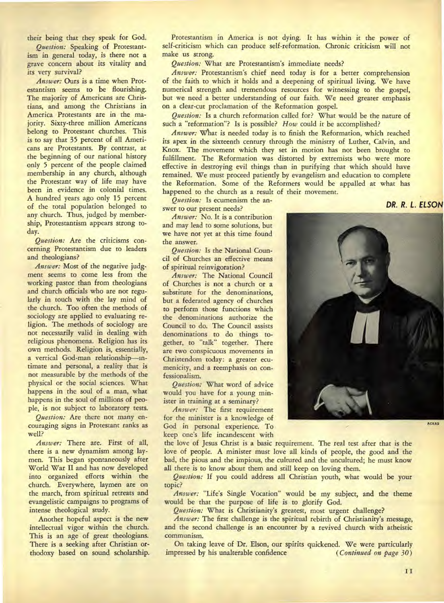their being that they speak for God.

*Question:* Speaking of Protestantism in general today, is there not a grave concern about its vitality and its very survival?

*Answer:* Ours is a time when Protestantism seems to be flourishing. The majority of Americans are Christians, and among the Christians in America Protestants are in the majority. Sixty-three million Americans belong to Protestant churches. This is to say that 35 percent of all Americans are Protestants. By contrast, at the beginning of our national history only 5 percent of the people claimed membership in any church, although the Protestant way of life may have been in evidence in colonial times. A hundred years ago only 15 percent of the total population belonged to any church. Thus, judged by membership, Protestantism appears strong today.

*Question:* Are the criticisms concerning Protestantism due to leaders and theologians?

*Answer:* Most of the negative judgment seems to come less from the working pastor than from theologians and church officials who are not regularly in touch with the lay mind of the church. Too often the methods of sociology are applied to evaluating religion. The methods of sociology are not necessarily valid in dealing with religious phenomena. Religion has its own methods. Religion is, essentially, a vertical God-man relationship—intimate and personal, a reality that is not measurable by the methods of the physical or the social sciences. What happens in the soul of a man, what happens in the soul of millions of people, is not subject to laboratory tests.

*Question:* Are there not many encouraging signs in Protestant ranks as well?

*Answer:* There are. First of all, there is a new dynamism among laymen. This began spontaneously after World War II and has now developed into organized efforts within the church. Everywhere, laymen are on the march, from spiritual retreats and evangelistic campaigns to programs of intense theological study.

Another hopeful aspect is the new intellectual vigor within the church. This is an age of great theologians. There is a seeking after Christian orthodoxy based on sound scholarship.

Protestantism in America is not dying. It has within it the power of self-criticism which can produce self-reformation. Chronic criticism will not make us strong.

*Question:* What are Protestantism's immediate needs?

*Answer:* Protestantism's chief need today is for a better comprehension of the faith to which it holds and a deepening of spiritual living. We have numerical strength and tremendous resources for witnessing to the gospel, but we need a better understanding of our faith. We need greater emphasis on a clear-cut proclamation of the Reformation gospel.

*Question:* Is a church reformation called for? What would be the nature of such a "reformation"? Is is possible? *How* could it be accomplished?

*Answer:* What is needed today is to finish the Reformation, which reached its apex in the sixteenth century through the ministry of Luther, Calvin, and Knox. The movement which they set in motion has not been brought to fulfillment. The Reformation was distorted by extremists who were more effective in destroying evil things than in purifying that which should have remained. We must proceed patiently by evangelism and education to complete the Reformation. Some of the Reformers would be appalled at what has happened to the church as a result of their movement.

*Question:* Is ecumenism the answer to our present needs?

*Answer:* No. It is a contribution and may lead to some solutions, but we have not yet at this time found the answer.

*Question:* Is the National Council of Churches an effective means of spiritual reinvigoration?

*Answer:* The National Council of Churches is not a church or a substitute for the denominations, but a federated agency of churches to perform those functions which the denominations authorize the Council to do. The Council assists denominations to do things together, to "talk" together. There are two conspicuous movements in Christendom today: a greater ecumenicity, and a reemphasis on confessionalism.

*Question:* What word of advice would you have for a young minister in training at a seminary?

*Answer:* The first requirement for the minister is a knowledge of God in personal experience. To keep one's life incandescent with

the love of Jesus Christ is a basic requirement. The real test after that is the love of people. A minister must love all kinds of people, the good and the bad, the pious and the impious, the cultured and the uncultured; he must know all there is to know about them and still keep on loving them.

*Question:* If you could address all Christian youth, what would be your topic?

*Answer:* "Life's Single Vocation" would be my subject, and the theme would be that the purpose of life is to glorify God.

*Question:* What is Christianity's greatest, most urgent challenge?

*Answer:* The first challenge is the spiritual rebirth of Christianity's message, and the second challenge is an encounter by a revived church with atheistic communism.

On taking leave of Dr. Elson, our spirits quickened. We were particularly pressed by his unalterable confidence (Continued on page 30) impressed by his unalterable confidence



DR. R. L. ELSON

II